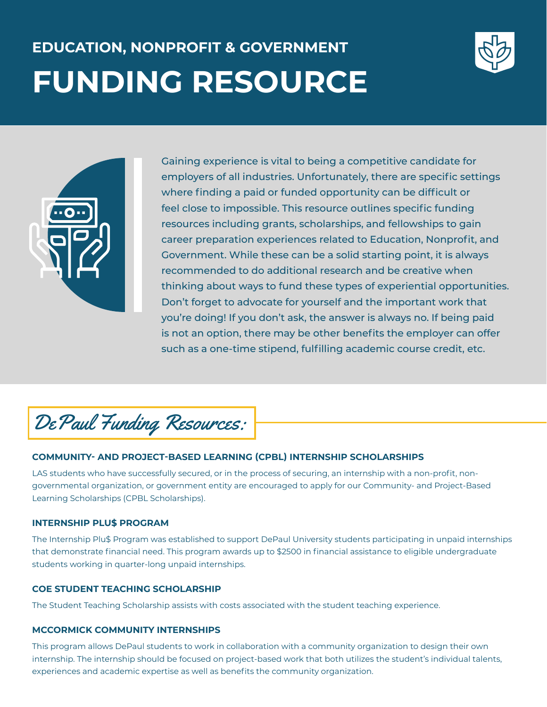# **EDUCATION, NONPROFIT & GOVERNMENT FUNDING RESOURCE**





Gaining experience is vital to being a competitive candidate for employers of all industries. Unfortunately, there are specific settings where finding a paid or funded opportunity can be difficult or feel close to impossible. This resource outlines specific funding resources including grants, scholarships, and fellowships to gain career preparation experiences related to Education, Nonprofit, and Government. While these can be a solid starting point, it is always recommended to do additional research and be creative when thinking about ways to fund these types of experiential opportunities. Don't forget to advocate for yourself and the important work that you're doing! If you don't ask, the answer is always no. If being paid is not an option, there may be other benefits the employer can offer such as a one-time stipend, fulfilling academic course credit, etc.



# **COMMUNITY- AND PROJECT-BASED LEARNING (CPBL) INTERNSHIP SCHOLARSHIPS**

LAS students who have successfully secured, or in the process of securing, an internship with a non-profit, nongovernmental organization, or government entity are encouraged to apply for our Community- and Project-Based Learning Scholarships (CPBL Scholarships).

# **INTERNSHIP PLU\$ PROGRAM**

The Internship Plu\$ Program was established to support DePaul University students participating in unpaid internships that demonstrate financial need. This program awards up to \$2500 in financial assistance to eligible undergraduate students working in quarter-long unpaid internships.

# **COE STUDENT TEACHING SCHOLARSHIP**

The Student Teaching Scholarship assists with costs associated with the student teaching experience.

# **MCCORMICK COMMUNITY INTERNSHIPS**

This program allows DePaul students to work in collaboration with a community organization to design their own internship. The internship should be focused on project-based work that both utilizes the student's individual talents, experiences and academic expertise as well as benefits the community organization.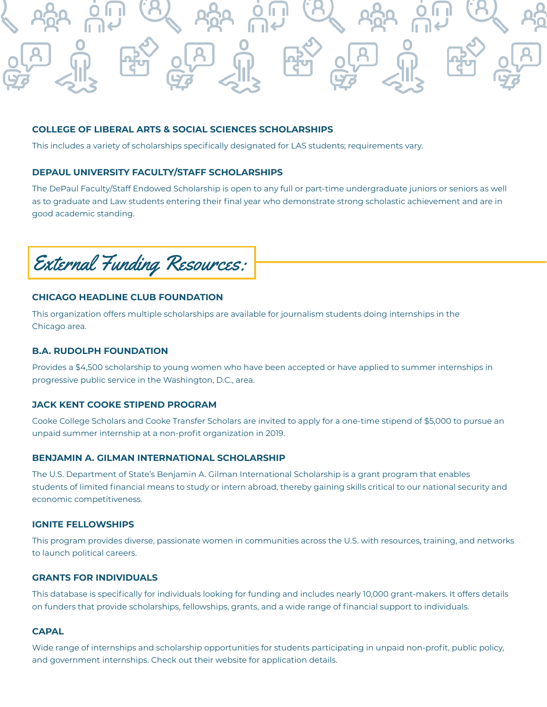

## **COLLEGE OF LIBERAL ARTS & SOCIAL SCIENCES SCHOLARSHIPS**

This includes a variety of scholarships specifically designated for LAS students; requirements vary.

# **DEPAUL UNIVERSITY FACULTY/STAFF SCHOLARSHIPS**

The DePaul Faculty/Staff Endowed Scholarship is open to any full or part-time undergraduate juniors or seniors as well as to graduate and Law students entering their final year who demonstrate strong scholastic achievement and are in good academic standing.



# **CHICAGO HEADLINE CLUB FOUNDATION**

This organization offers multiple scholarships are available for journalism students doing internships in the Chicago area.

#### **B.A. RUDOLPH FOUNDATION**

Provides a \$4,500 scholarship to young women who have been accepted or have applied to summer internships in progressive public service in the Washington, D.C., area.

# **JACK KENT COOKE STIPEND PROGRAM**

Cooke College Scholars and Cooke Transfer Scholars are invited to apply for a one-time stipend of \$5,000 to pursue an unpaid summer internship at a non-profit organization in 2019.

#### **BENJAMIN A. GILMAN INTERNATIONAL SCHOLARSHIP**

The U.S. Department of State's Benjamin A. Gilman International Scholarship is a grant program that enables students of limited financial means to study or intern abroad, thereby gaining skills critical to our national security and economic competitiveness.

#### **IGNITE FELLOWSHIPS**

This program provides diverse, passionate women in communities across the U.S. with resources, training, and networks to launch political careers.

#### **GRANTS FOR INDIVIDUALS**

This database is specifically for individuals looking for funding and includes nearly 10,000 grant-makers. It offers details on funders that provide scholarships, fellowships, grants, and a wide range of financial support to individuals.

#### **CAPAL**

Wide range of internships and scholarship opportunities for students participating in unpaid non-profit, public policy, and government internships. Check out their website for application details.